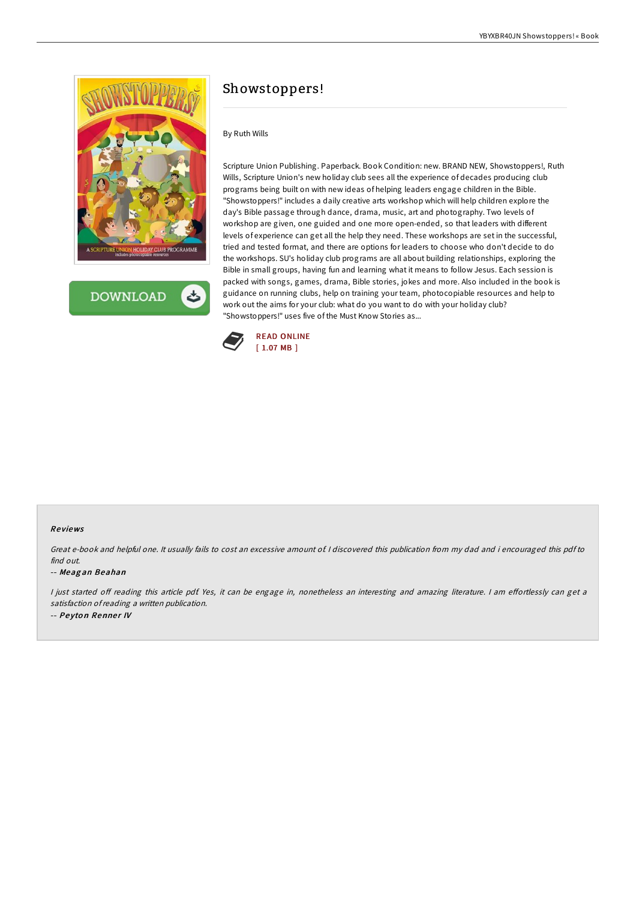

**DOWNLOAD** ٹ

# Showstoppers!

# By Ruth Wills

Scripture Union Publishing. Paperback. Book Condition: new. BRAND NEW, Showstoppers!, Ruth Wills, Scripture Union's new holiday club sees all the experience of decades producing club programs being built on with new ideas of helping leaders engage children in the Bible. "Showstoppers!" includes a daily creative arts workshop which will help children explore the day's Bible passage through dance, drama, music, art and photography. Two levels of workshop are given, one guided and one more open-ended, so that leaders with different levels of experience can get all the help they need. These workshops are set in the successful, tried and tested format, and there are options for leaders to choose who don't decide to do the workshops. SU's holiday club programs are all about building relationships, exploring the Bible in small groups, having fun and learning what it means to follow Jesus. Each session is packed with songs, games, drama, Bible stories, jokes and more. Also included in the book is guidance on running clubs, help on training your team, photocopiable resources and help to work out the aims for your club: what do you want to do with your holiday club? "Showstoppers!" uses five of the Must Know Stories as...



#### Re views

Great e-book and helpful one. It usually fails to cost an excessive amount of. <sup>I</sup> discovered this publication from my dad and i encouraged this pdf to find out.

#### -- Meag an Beahan

I just started off reading this article pdf. Yes, it can be engage in, nonetheless an interesting and amazing literature. I am effortlessly can get a satisfaction ofreading <sup>a</sup> written publication. -- Peyton Renner IV